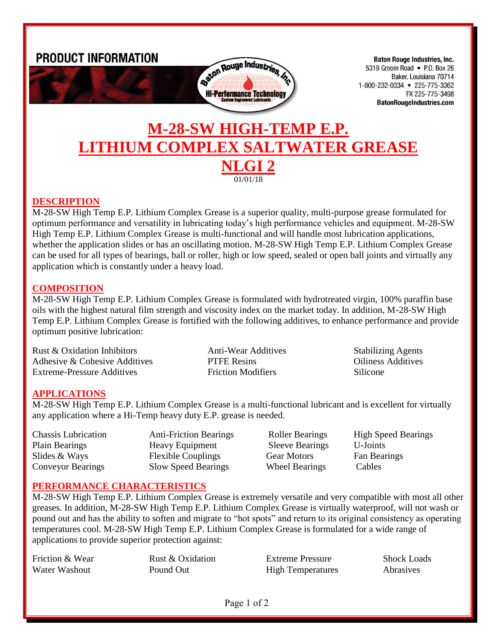

## **M-28-SW HIGH-TEMP E.P. LITHIUM COMPLEX SALTWATER GREASE NLGI 2** 01/01/18

### **DESCRIPTION**

M-28-SW High Temp E.P. Lithium Complex Grease is a superior quality, multi-purpose grease formulated for optimum performance and versatility in lubricating today's high performance vehicles and equipment. M-28-SW High Temp E.P. Lithium Complex Grease is multi-functional and will handle most lubrication applications, whether the application slides or has an oscillating motion. M-28-SW High Temp E.P. Lithium Complex Grease can be used for all types of bearings, ball or roller, high or low speed, sealed or open ball joints and virtually any application which is constantly under a heavy load.

### **COMPOSITION**

M-28-SW High Temp E.P. Lithium Complex Grease is formulated with hydrotreated virgin, 100% paraffin base oils with the highest natural film strength and viscosity index on the market today. In addition, M-28-SW High Temp E.P. Lithium Complex Grease is fortified with the following additives, to enhance performance and provide optimum positive lubrication:

Rust & Oxidation Inhibitors **Anti-Wear Additives** Stabilizing Agents Adhesive & Cohesive Additives **PTFE Resins** Oiliness Additives Extreme-Pressure Additives Friction Modifiers Silicone

### **APPLICATIONS**

M-28-SW High Temp E.P. Lithium Complex Grease is a multi-functional lubricant and is excellent for virtually any application where a Hi-Temp heavy duty E.P. grease is needed.

Chassis Lubrication Anti-Friction Bearings Roller Bearings High Speed Bearings Plain Bearings Heavy Equipment Sleeve Bearings U-Joints Slides & Ways Flexible Couplings Gear Motors Fan Bearings Conveyor Bearings Slow Speed Bearings Wheel Bearings Cables

### **PERFORMANCE CHARACTERISTICS**

M-28-SW High Temp E.P. Lithium Complex Grease is extremely versatile and very compatible with most all other greases. In addition, M-28-SW High Temp E.P. Lithium Complex Grease is virtually waterproof, will not wash or pound out and has the ability to soften and migrate to "hot spots" and return to its original consistency as operating temperatures cool. M-28-SW High Temp E.P. Lithium Complex Grease is formulated for a wide range of applications to provide superior protection against:

Friction & Wear Rust & Oxidation Extreme Pressure Shock Loads Water Washout **Pound Out** Provident High Temperatures Abrasives